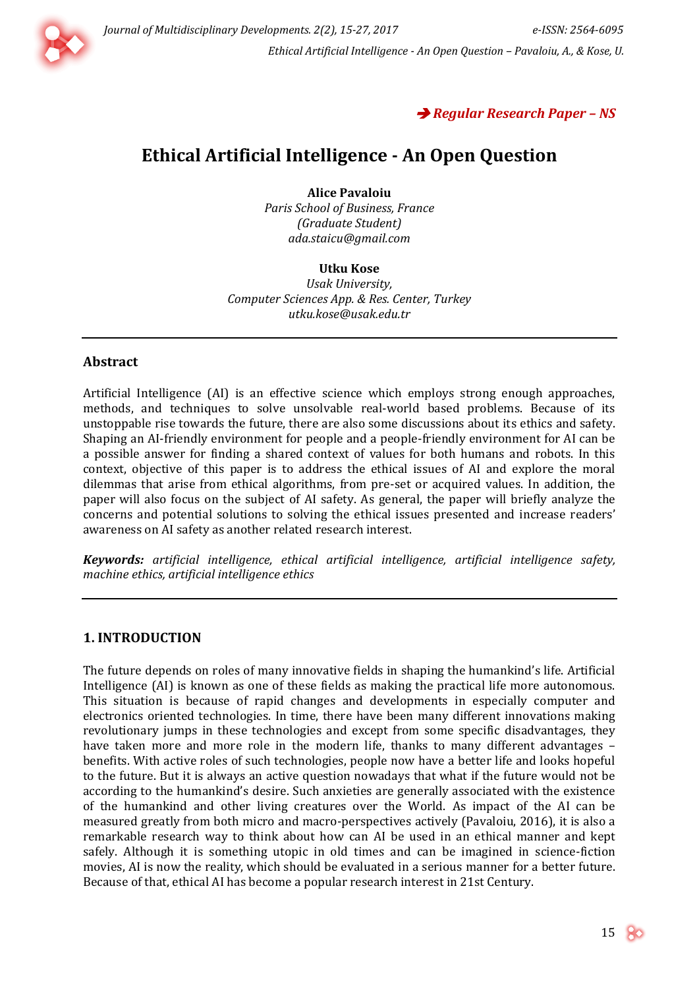



# **Ethical Artificial Intelligence - An Open Question**

**Alice Pavaloiu** *Paris School of Business, France (Graduate Student) [ada.staicu@gmail.com](mailto:ada.staicu@gmail.com)*

#### **Utku Kose**

*Usak University, Computer Sciences App. & Res. Center, Turkey [utku.kose@usak.edu.tr](mailto:utku.kose@usak.edu.tr)*

#### **Abstract**

Artificial Intelligence (AI) is an effective science which employs strong enough approaches, methods, and techniques to solve unsolvable real-world based problems. Because of its unstoppable rise towards the future, there are also some discussions about its ethics and safety. Shaping an AI-friendly environment for people and a people-friendly environment for AI can be a possible answer for finding a shared context of values for both humans and robots. In this context, objective of this paper is to address the ethical issues of AI and explore the moral dilemmas that arise from ethical algorithms, from pre-set or acquired values. In addition, the paper will also focus on the subject of AI safety. As general, the paper will briefly analyze the concerns and potential solutions to solving the ethical issues presented and increase readers' awareness on AI safety as another related research interest.

*Keywords: artificial intelligence, ethical artificial intelligence, artificial intelligence safety, machine ethics, artificial intelligence ethics*

### **1. INTRODUCTION**

The future depends on roles of many innovative fields in shaping the humankind's life. Artificial Intelligence (AI) is known as one of these fields as making the practical life more autonomous. This situation is because of rapid changes and developments in especially computer and electronics oriented technologies. In time, there have been many different innovations making revolutionary jumps in these technologies and except from some specific disadvantages, they have taken more and more role in the modern life, thanks to many different advantages – benefits. With active roles of such technologies, people now have a better life and looks hopeful to the future. But it is always an active question nowadays that what if the future would not be according to the humankind's desire. Such anxieties are generally associated with the existence of the humankind and other living creatures over the World. As impact of the AI can be measured greatly from both micro and macro-perspectives actively (Pavaloiu, 2016), it is also a remarkable research way to think about how can AI be used in an ethical manner and kept safely. Although it is something utopic in old times and can be imagined in science-fiction movies, AI is now the reality, which should be evaluated in a serious manner for a better future. Because of that, ethical AI has become a popular research interest in 21st Century.

15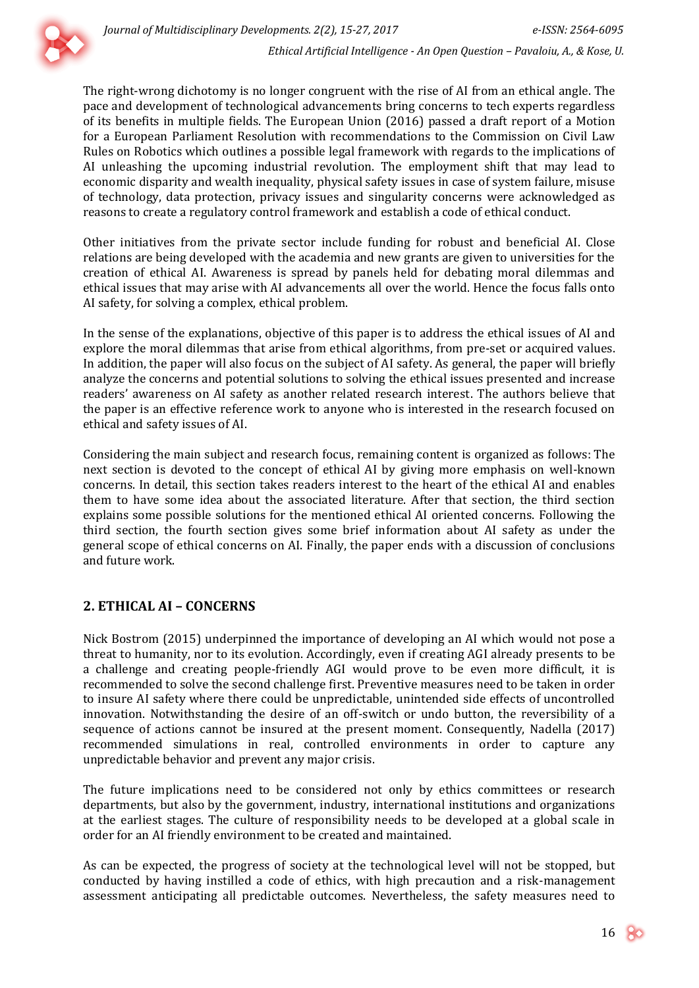

The right-wrong dichotomy is no longer congruent with the rise of AI from an ethical angle. The pace and development of technological advancements bring concerns to tech experts regardless of its benefits in multiple fields. The European Union (2016) passed a draft report of a Motion for a European Parliament Resolution with recommendations to the Commission on Civil Law Rules on Robotics which outlines a possible legal framework with regards to the implications of AI unleashing the upcoming industrial revolution. The employment shift that may lead to economic disparity and wealth inequality, physical safety issues in case of system failure, misuse of technology, data protection, privacy issues and singularity concerns were acknowledged as reasons to create a regulatory control framework and establish a code of ethical conduct.

Other initiatives from the private sector include funding for robust and beneficial AI. Close relations are being developed with the academia and new grants are given to universities for the creation of ethical AI. Awareness is spread by panels held for debating moral dilemmas and ethical issues that may arise with AI advancements all over the world. Hence the focus falls onto AI safety, for solving a complex, ethical problem.

In the sense of the explanations, objective of this paper is to address the ethical issues of AI and explore the moral dilemmas that arise from ethical algorithms, from pre-set or acquired values. In addition, the paper will also focus on the subject of AI safety. As general, the paper will briefly analyze the concerns and potential solutions to solving the ethical issues presented and increase readers' awareness on AI safety as another related research interest. The authors believe that the paper is an effective reference work to anyone who is interested in the research focused on ethical and safety issues of AI.

Considering the main subject and research focus, remaining content is organized as follows: The next section is devoted to the concept of ethical AI by giving more emphasis on well-known concerns. In detail, this section takes readers interest to the heart of the ethical AI and enables them to have some idea about the associated literature. After that section, the third section explains some possible solutions for the mentioned ethical AI oriented concerns. Following the third section, the fourth section gives some brief information about AI safety as under the general scope of ethical concerns on AI. Finally, the paper ends with a discussion of conclusions and future work.

## **2. ETHICAL AI – CONCERNS**

Nick Bostrom (2015) underpinned the importance of developing an AI which would not pose a threat to humanity, nor to its evolution. Accordingly, even if creating AGI already presents to be a challenge and creating people-friendly AGI would prove to be even more difficult, it is recommended to solve the second challenge first. Preventive measures need to be taken in order to insure AI safety where there could be unpredictable, unintended side effects of uncontrolled innovation. Notwithstanding the desire of an off-switch or undo button, the reversibility of a sequence of actions cannot be insured at the present moment. Consequently, Nadella (2017) recommended simulations in real, controlled environments in order to capture any unpredictable behavior and prevent any major crisis.

The future implications need to be considered not only by ethics committees or research departments, but also by the government, industry, international institutions and organizations at the earliest stages. The culture of responsibility needs to be developed at a global scale in order for an AI friendly environment to be created and maintained.

As can be expected, the progress of society at the technological level will not be stopped, but conducted by having instilled a code of ethics, with high precaution and a risk-management assessment anticipating all predictable outcomes. Nevertheless, the safety measures need to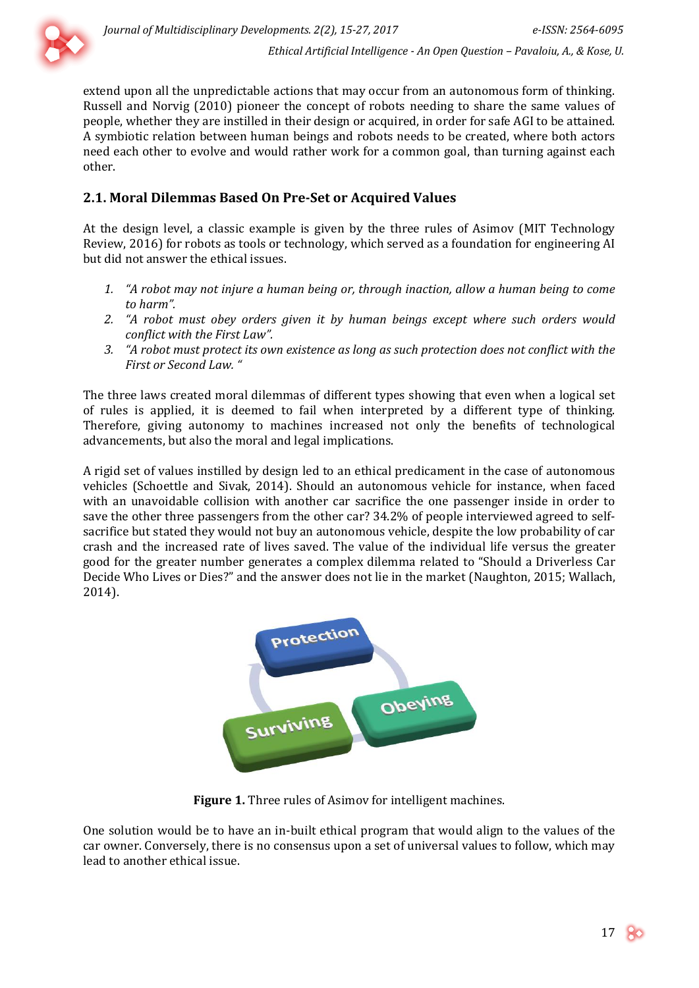

extend upon all the unpredictable actions that may occur from an autonomous form of thinking. Russell and Norvig (2010) pioneer the concept of robots needing to share the same values of people, whether they are instilled in their design or acquired, in order for safe AGI to be attained. A symbiotic relation between human beings and robots needs to be created, where both actors need each other to evolve and would rather work for a common goal, than turning against each other.

# **2.1. Moral Dilemmas Based On Pre-Set or Acquired Values**

At the design level, a classic example is given by the three rules of Asimov (MIT Technology Review, 2016) for robots as tools or technology, which served as a foundation for engineering AI but did not answer the ethical issues.

- *1. "A robot may not injure a human being or, through inaction, allow a human being to come to harm".*
- *2. "A robot must obey orders given it by human beings except where such orders would conflict with the First Law".*
- *3. "A robot must protect its own existence as long as such protection does not conflict with the First or Second Law. "*

The three laws created moral dilemmas of different types showing that even when a logical set of rules is applied, it is deemed to fail when interpreted by a different type of thinking. Therefore, giving autonomy to machines increased not only the benefits of technological advancements, but also the moral and legal implications.

A rigid set of values instilled by design led to an ethical predicament in the case of autonomous vehicles (Schoettle and Sivak, 2014). Should an autonomous vehicle for instance, when faced with an unavoidable collision with another car sacrifice the one passenger inside in order to save the other three passengers from the other car? 34.2% of people interviewed agreed to selfsacrifice but stated they would not buy an autonomous vehicle, despite the low probability of car crash and the increased rate of lives saved. The value of the individual life versus the greater good for the greater number generates a complex dilemma related to "Should a Driverless Car Decide Who Lives or Dies?" and the answer does not lie in the market (Naughton, 2015; Wallach, 2014).



**Figure 1.** Three rules of Asimov for intelligent machines.

One solution would be to have an in-built ethical program that would align to the values of the car owner. Conversely, there is no consensus upon a set of universal values to follow, which may lead to another ethical issue.

17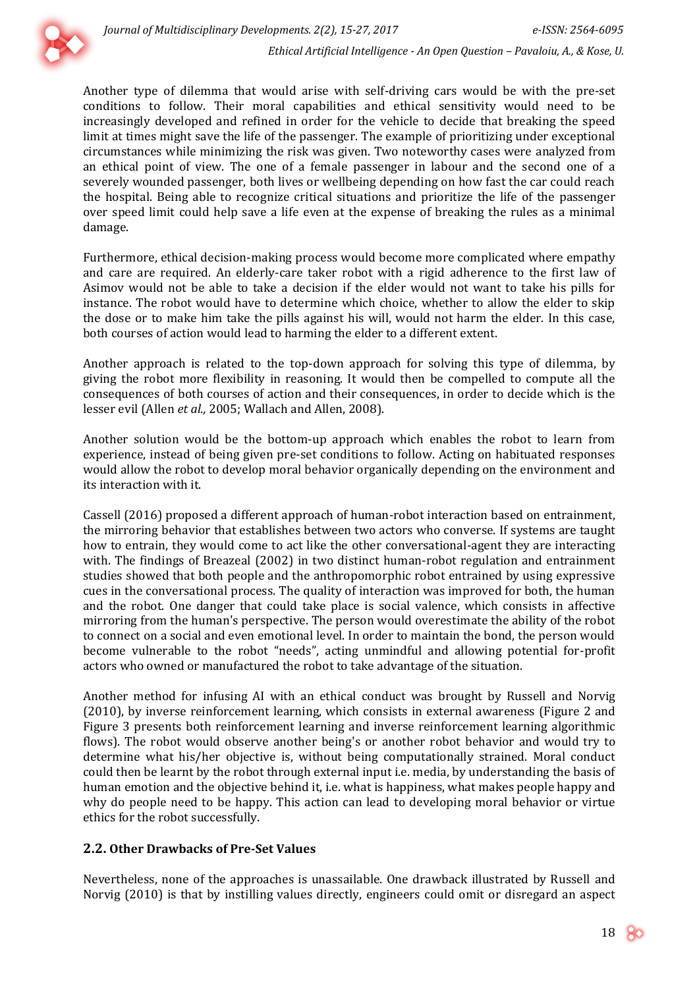

Another type of dilemma that would arise with self-driving cars would be with the pre-set conditions to follow. Their moral capabilities and ethical sensitivity would need to be increasingly developed and refined in order for the vehicle to decide that breaking the speed limit at times might save the life of the passenger. The example of prioritizing under exceptional circumstances while minimizing the risk was given. Two noteworthy cases were analyzed from an ethical point of view. The one of a female passenger in labour and the second one of a severely wounded passenger, both lives or wellbeing depending on how fast the car could reach the hospital. Being able to recognize critical situations and prioritize the life of the passenger over speed limit could help save a life even at the expense of breaking the rules as a minimal damage.

Furthermore, ethical decision-making process would become more complicated where empathy and care are required. An elderly-care taker robot with a rigid adherence to the first law of Asimov would not be able to take a decision if the elder would not want to take his pills for instance. The robot would have to determine which choice, whether to allow the elder to skip the dose or to make him take the pills against his will, would not harm the elder. In this case, both courses of action would lead to harming the elder to a different extent.

Another approach is related to the top-down approach for solving this type of dilemma, by giving the robot more flexibility in reasoning. It would then be compelled to compute all the consequences of both courses of action and their consequences, in order to decide which is the lesser evil (Allen *et al.,* 2005; Wallach and Allen, 2008).

Another solution would be the bottom-up approach which enables the robot to learn from experience, instead of being given pre-set conditions to follow. Acting on habituated responses would allow the robot to develop moral behavior organically depending on the environment and its interaction with it.

Cassell (2016) proposed a different approach of human-robot interaction based on entrainment, the mirroring behavior that establishes between two actors who converse. If systems are taught how to entrain, they would come to act like the other conversational-agent they are interacting with. The findings of Breazeal (2002) in two distinct human-robot regulation and entrainment studies showed that both people and the anthropomorphic robot entrained by using expressive cues in the conversational process. The quality of interaction was improved for both, the human and the robot. One danger that could take place is social valence, which consists in affective mirroring from the human's perspective. The person would overestimate the ability of the robot to connect on a social and even emotional level. In order to maintain the bond, the person would become vulnerable to the robot "needs", acting unmindful and allowing potential for-profit actors who owned or manufactured the robot to take advantage of the situation.

Another method for infusing AI with an ethical conduct was brought by Russell and Norvig (2010), by inverse reinforcement learning, which consists in external awareness (Figure 2 and Figure 3 presents both reinforcement learning and inverse reinforcement learning algorithmic flows). The robot would observe another being's or another robot behavior and would try to determine what his/her objective is, without being computationally strained. Moral conduct could then be learnt by the robot through external input i.e. media, by understanding the basis of human emotion and the objective behind it, i.e. what is happiness, what makes people happy and why do people need to be happy. This action can lead to developing moral behavior or virtue ethics for the robot successfully.

## **2.2. Other Drawbacks of Pre-Set Values**

Nevertheless, none of the approaches is unassailable. One drawback illustrated by Russell and Norvig (2010) is that by instilling values directly, engineers could omit or disregard an aspect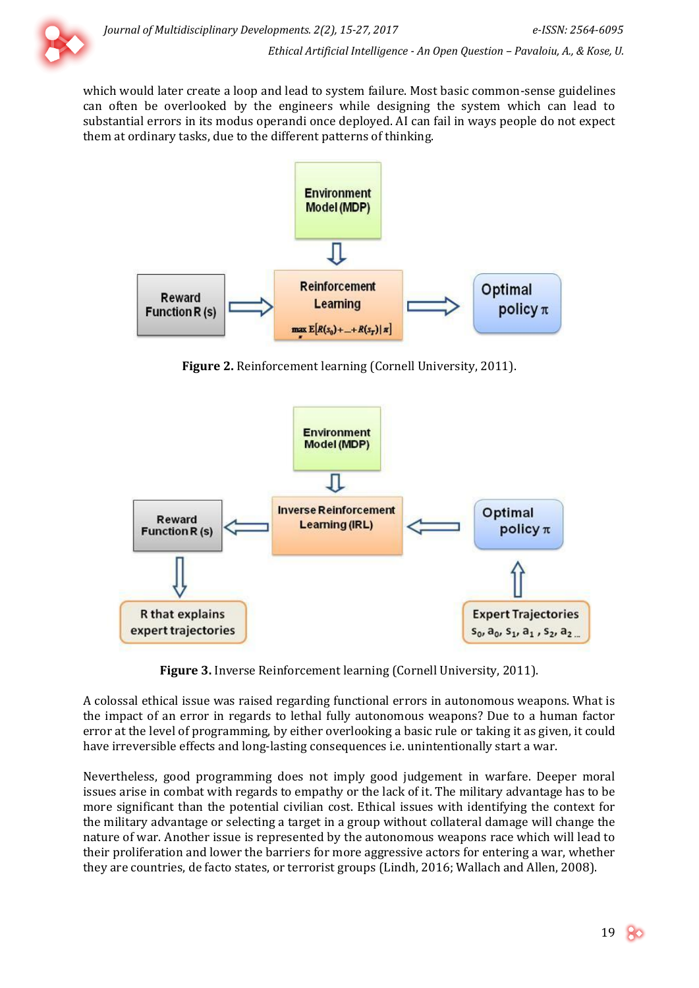

which would later create a loop and lead to system failure. Most basic common-sense guidelines can often be overlooked by the engineers while designing the system which can lead to substantial errors in its modus operandi once deployed. AI can fail in ways people do not expect them at ordinary tasks, due to the different patterns of thinking.



**Figure 2.** Reinforcement learning (Cornell University, 2011).



**Figure 3.** Inverse Reinforcement learning (Cornell University, 2011).

A colossal ethical issue was raised regarding functional errors in autonomous weapons. What is the impact of an error in regards to lethal fully autonomous weapons? Due to a human factor error at the level of programming, by either overlooking a basic rule or taking it as given, it could have irreversible effects and long-lasting consequences i.e. unintentionally start a war.

Nevertheless, good programming does not imply good judgement in warfare. Deeper moral issues arise in combat with regards to empathy or the lack of it. The military advantage has to be more significant than the potential civilian cost. Ethical issues with identifying the context for the military advantage or selecting a target in a group without collateral damage will change the nature of war. Another issue is represented by the autonomous weapons race which will lead to their proliferation and lower the barriers for more aggressive actors for entering a war, whether they are countries, de facto states, or terrorist groups (Lindh, 2016; Wallach and Allen, 2008).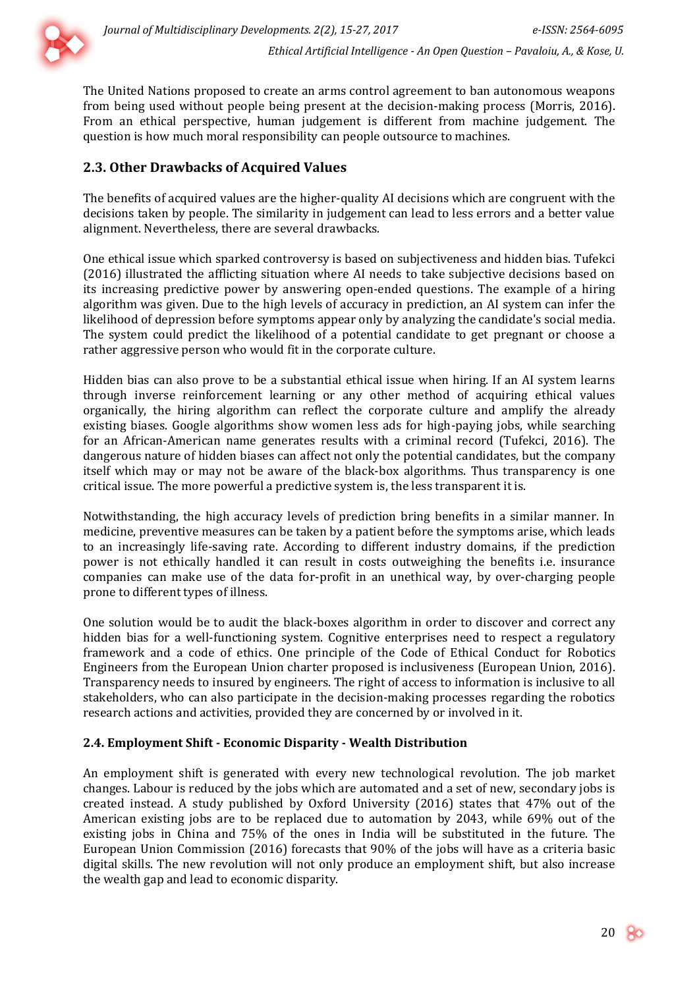

The United Nations proposed to create an arms control agreement to ban autonomous weapons from being used without people being present at the decision-making process (Morris, 2016). From an ethical perspective, human judgement is different from machine judgement. The question is how much moral responsibility can people outsource to machines.

# **2.3. Other Drawbacks of Acquired Values**

The benefits of acquired values are the higher-quality AI decisions which are congruent with the decisions taken by people. The similarity in judgement can lead to less errors and a better value alignment. Nevertheless, there are several drawbacks.

One ethical issue which sparked controversy is based on subjectiveness and hidden bias. Tufekci (2016) illustrated the afflicting situation where AI needs to take subjective decisions based on its increasing predictive power by answering open-ended questions. The example of a hiring algorithm was given. Due to the high levels of accuracy in prediction, an AI system can infer the likelihood of depression before symptoms appear only by analyzing the candidate's social media. The system could predict the likelihood of a potential candidate to get pregnant or choose a rather aggressive person who would fit in the corporate culture.

Hidden bias can also prove to be a substantial ethical issue when hiring. If an AI system learns through inverse reinforcement learning or any other method of acquiring ethical values organically, the hiring algorithm can reflect the corporate culture and amplify the already existing biases. Google algorithms show women less ads for high-paying jobs, while searching for an African-American name generates results with a criminal record (Tufekci, 2016). The dangerous nature of hidden biases can affect not only the potential candidates, but the company itself which may or may not be aware of the black-box algorithms. Thus transparency is one critical issue. The more powerful a predictive system is, the less transparent it is.

Notwithstanding, the high accuracy levels of prediction bring benefits in a similar manner. In medicine, preventive measures can be taken by a patient before the symptoms arise, which leads to an increasingly life-saving rate. According to different industry domains, if the prediction power is not ethically handled it can result in costs outweighing the benefits i.e. insurance companies can make use of the data for-profit in an unethical way, by over-charging people prone to different types of illness.

One solution would be to audit the black-boxes algorithm in order to discover and correct any hidden bias for a well-functioning system. Cognitive enterprises need to respect a regulatory framework and a code of ethics. One principle of the Code of Ethical Conduct for Robotics Engineers from the European Union charter proposed is inclusiveness (European Union, 2016). Transparency needs to insured by engineers. The right of access to information is inclusive to all stakeholders, who can also participate in the decision-making processes regarding the robotics research actions and activities, provided they are concerned by or involved in it.

## **2.4. Employment Shift - Economic Disparity - Wealth Distribution**

An employment shift is generated with every new technological revolution. The job market changes. Labour is reduced by the jobs which are automated and a set of new, secondary jobs is created instead. A study published by Oxford University (2016) states that 47% out of the American existing jobs are to be replaced due to automation by 2043, while 69% out of the existing jobs in China and 75% of the ones in India will be substituted in the future. The European Union Commission (2016) forecasts that 90% of the jobs will have as a criteria basic digital skills. The new revolution will not only produce an employment shift, but also increase the wealth gap and lead to economic disparity.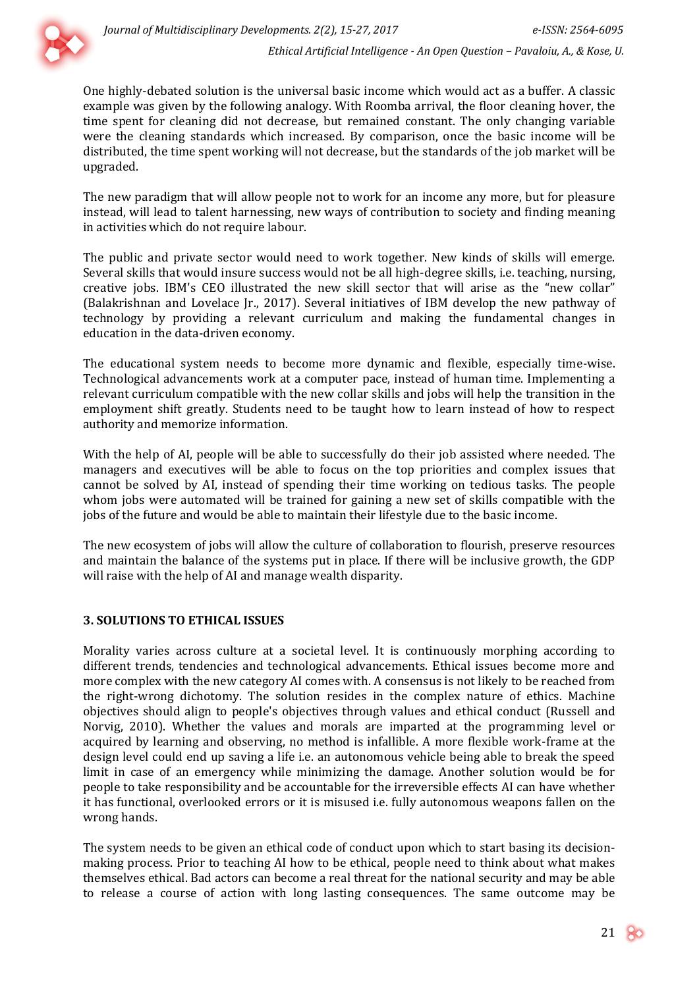

*Ethical Artificial Intelligence - An Open Question – Pavaloiu, A., & Kose, U.*

One highly-debated solution is the universal basic income which would act as a buffer. A classic example was given by the following analogy. With Roomba arrival, the floor cleaning hover, the time spent for cleaning did not decrease, but remained constant. The only changing variable were the cleaning standards which increased. By comparison, once the basic income will be distributed, the time spent working will not decrease, but the standards of the job market will be upgraded.

The new paradigm that will allow people not to work for an income any more, but for pleasure instead, will lead to talent harnessing, new ways of contribution to society and finding meaning in activities which do not require labour.

The public and private sector would need to work together. New kinds of skills will emerge. Several skills that would insure success would not be all high-degree skills, i.e. teaching, nursing, creative jobs. IBM's CEO illustrated the new skill sector that will arise as the "new collar" (Balakrishnan and Lovelace Jr., 2017). Several initiatives of IBM develop the new pathway of technology by providing a relevant curriculum and making the fundamental changes in education in the data-driven economy.

The educational system needs to become more dynamic and flexible, especially time-wise. Technological advancements work at a computer pace, instead of human time. Implementing a relevant curriculum compatible with the new collar skills and jobs will help the transition in the employment shift greatly. Students need to be taught how to learn instead of how to respect authority and memorize information.

With the help of AI, people will be able to successfully do their job assisted where needed. The managers and executives will be able to focus on the top priorities and complex issues that cannot be solved by AI, instead of spending their time working on tedious tasks. The people whom jobs were automated will be trained for gaining a new set of skills compatible with the jobs of the future and would be able to maintain their lifestyle due to the basic income.

The new ecosystem of jobs will allow the culture of collaboration to flourish, preserve resources and maintain the balance of the systems put in place. If there will be inclusive growth, the GDP will raise with the help of AI and manage wealth disparity.

## **3. SOLUTIONS TO ETHICAL ISSUES**

Morality varies across culture at a societal level. It is continuously morphing according to different trends, tendencies and technological advancements. Ethical issues become more and more complex with the new category AI comes with. A consensus is not likely to be reached from the right-wrong dichotomy. The solution resides in the complex nature of ethics. Machine objectives should align to people's objectives through values and ethical conduct (Russell and Norvig, 2010). Whether the values and morals are imparted at the programming level or acquired by learning and observing, no method is infallible. A more flexible work-frame at the design level could end up saving a life i.e. an autonomous vehicle being able to break the speed limit in case of an emergency while minimizing the damage. Another solution would be for people to take responsibility and be accountable for the irreversible effects AI can have whether it has functional, overlooked errors or it is misused i.e. fully autonomous weapons fallen on the wrong hands.

The system needs to be given an ethical code of conduct upon which to start basing its decisionmaking process. Prior to teaching AI how to be ethical, people need to think about what makes themselves ethical. Bad actors can become a real threat for the national security and may be able to release a course of action with long lasting consequences. The same outcome may be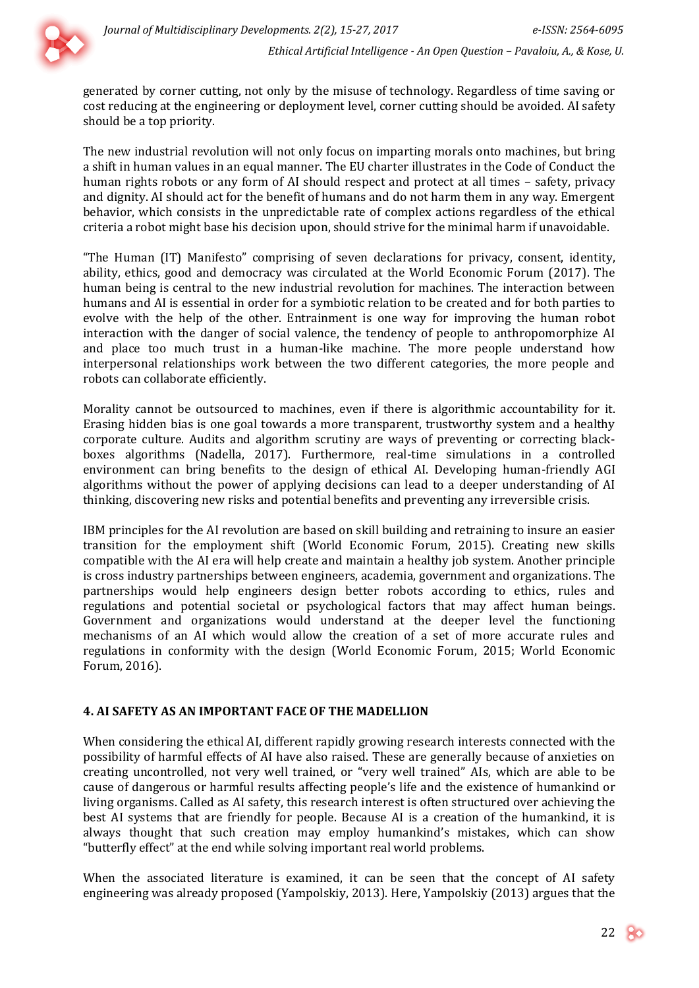

generated by corner cutting, not only by the misuse of technology. Regardless of time saving or cost reducing at the engineering or deployment level, corner cutting should be avoided. AI safety should be a top priority.

The new industrial revolution will not only focus on imparting morals onto machines, but bring a shift in human values in an equal manner. The EU charter illustrates in the Code of Conduct the human rights robots or any form of AI should respect and protect at all times – safety, privacy and dignity. AI should act for the benefit of humans and do not harm them in any way. Emergent behavior, which consists in the unpredictable rate of complex actions regardless of the ethical criteria a robot might base his decision upon, should strive for the minimal harm if unavoidable.

"The Human (IT) Manifesto" comprising of seven declarations for privacy, consent, identity, ability, ethics, good and democracy was circulated at the World Economic Forum (2017). The human being is central to the new industrial revolution for machines. The interaction between humans and AI is essential in order for a symbiotic relation to be created and for both parties to evolve with the help of the other. Entrainment is one way for improving the human robot interaction with the danger of social valence, the tendency of people to anthropomorphize AI and place too much trust in a human-like machine. The more people understand how interpersonal relationships work between the two different categories, the more people and robots can collaborate efficiently.

Morality cannot be outsourced to machines, even if there is algorithmic accountability for it. Erasing hidden bias is one goal towards a more transparent, trustworthy system and a healthy corporate culture. Audits and algorithm scrutiny are ways of preventing or correcting blackboxes algorithms (Nadella, 2017). Furthermore, real-time simulations in a controlled environment can bring benefits to the design of ethical AI. Developing human-friendly AGI algorithms without the power of applying decisions can lead to a deeper understanding of AI thinking, discovering new risks and potential benefits and preventing any irreversible crisis.

IBM principles for the AI revolution are based on skill building and retraining to insure an easier transition for the employment shift (World Economic Forum, 2015). Creating new skills compatible with the AI era will help create and maintain a healthy job system. Another principle is cross industry partnerships between engineers, academia, government and organizations. The partnerships would help engineers design better robots according to ethics, rules and regulations and potential societal or psychological factors that may affect human beings. Government and organizations would understand at the deeper level the functioning mechanisms of an AI which would allow the creation of a set of more accurate rules and regulations in conformity with the design (World Economic Forum, 2015; World Economic Forum, 2016).

#### **4. AI SAFETY AS AN IMPORTANT FACE OF THE MADELLION**

When considering the ethical AI, different rapidly growing research interests connected with the possibility of harmful effects of AI have also raised. These are generally because of anxieties on creating uncontrolled, not very well trained, or "very well trained" AIs, which are able to be cause of dangerous or harmful results affecting people's life and the existence of humankind or living organisms. Called as AI safety, this research interest is often structured over achieving the best AI systems that are friendly for people. Because AI is a creation of the humankind, it is always thought that such creation may employ humankind's mistakes, which can show "butterfly effect" at the end while solving important real world problems.

When the associated literature is examined, it can be seen that the concept of AI safety engineering was already proposed (Yampolskiy, 2013). Here, Yampolskiy (2013) argues that the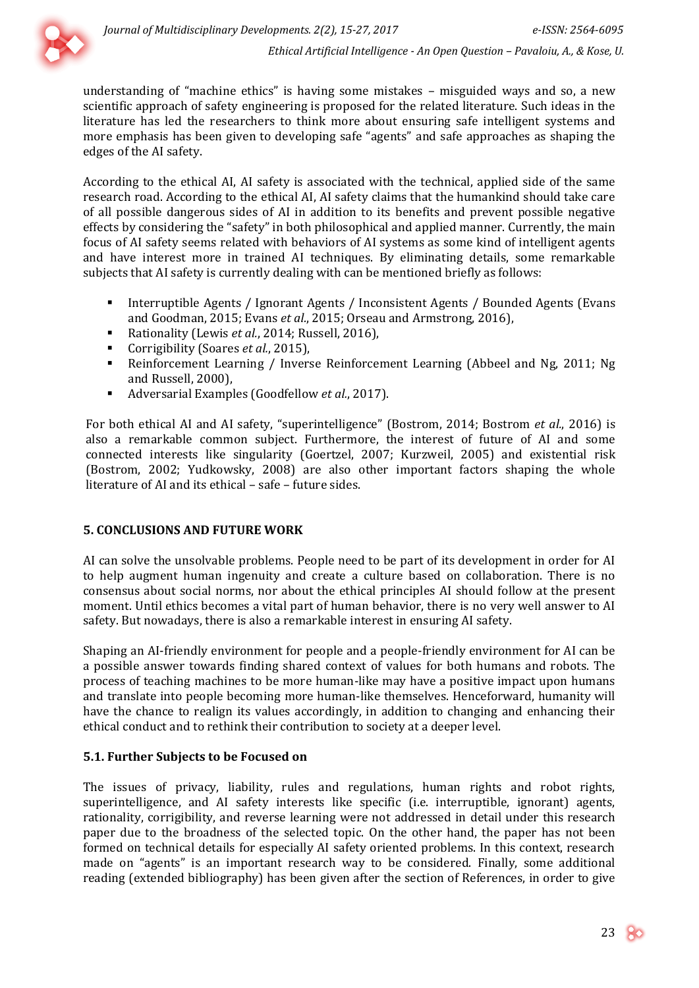

understanding of "machine ethics" is having some mistakes – misguided ways and so, a new scientific approach of safety engineering is proposed for the related literature. Such ideas in the literature has led the researchers to think more about ensuring safe intelligent systems and more emphasis has been given to developing safe "agents" and safe approaches as shaping the edges of the AI safety.

According to the ethical AI, AI safety is associated with the technical, applied side of the same research road. According to the ethical AI, AI safety claims that the humankind should take care of all possible dangerous sides of AI in addition to its benefits and prevent possible negative effects by considering the "safety" in both philosophical and applied manner. Currently, the main focus of AI safety seems related with behaviors of AI systems as some kind of intelligent agents and have interest more in trained AI techniques. By eliminating details, some remarkable subjects that AI safety is currently dealing with can be mentioned briefly as follows:

- Interruptible Agents / Ignorant Agents / Inconsistent Agents / Bounded Agents (Evans and Goodman, 2015; Evans *et al.*, 2015; Orseau and Armstrong, 2016),
- Rationality (Lewis *et al.*, 2014; Russell, 2016),
- Corrigibility (Soares *et al.*, 2015),
- Reinforcement Learning / Inverse Reinforcement Learning (Abbeel and Ng, 2011; Ng and Russell, 2000),
- Adversarial Examples (Goodfellow *et al.*, 2017).

For both ethical AI and AI safety, "superintelligence" (Bostrom, 2014; Bostrom *et al.*, 2016) is also a remarkable common subject. Furthermore, the interest of future of AI and some connected interests like singularity (Goertzel, 2007; Kurzweil, 2005) and existential risk (Bostrom, 2002; Yudkowsky, 2008) are also other important factors shaping the whole literature of AI and its ethical – safe – future sides.

#### **5. CONCLUSIONS AND FUTURE WORK**

AI can solve the unsolvable problems. People need to be part of its development in order for AI to help augment human ingenuity and create a culture based on collaboration. There is no consensus about social norms, nor about the ethical principles AI should follow at the present moment. Until ethics becomes a vital part of human behavior, there is no very well answer to AI safety. But nowadays, there is also a remarkable interest in ensuring AI safety.

Shaping an AI-friendly environment for people and a people-friendly environment for AI can be a possible answer towards finding shared context of values for both humans and robots. The process of teaching machines to be more human-like may have a positive impact upon humans and translate into people becoming more human-like themselves. Henceforward, humanity will have the chance to realign its values accordingly, in addition to changing and enhancing their ethical conduct and to rethink their contribution to society at a deeper level.

## **5.1. Further Subjects to be Focused on**

The issues of privacy, liability, rules and regulations, human rights and robot rights, superintelligence, and AI safety interests like specific (i.e. interruptible, ignorant) agents, rationality, corrigibility, and reverse learning were not addressed in detail under this research paper due to the broadness of the selected topic. On the other hand, the paper has not been formed on technical details for especially AI safety oriented problems. In this context, research made on "agents" is an important research way to be considered. Finally, some additional reading (extended bibliography) has been given after the section of References, in order to give

23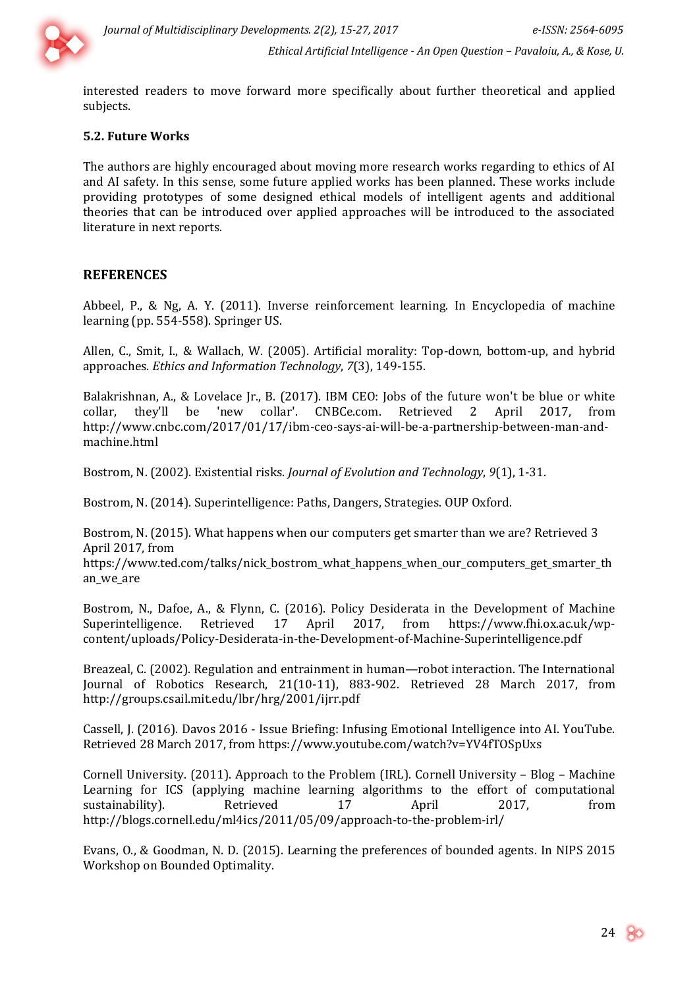

interested readers to move forward more specifically about further theoretical and applied subjects.

#### **5.2. Future Works**

The authors are highly encouraged about moving more research works regarding to ethics of AI and AI safety. In this sense, some future applied works has been planned. These works include providing prototypes of some designed ethical models of intelligent agents and additional theories that can be introduced over applied approaches will be introduced to the associated literature in next reports.

## **REFERENCES**

Abbeel, P., & Ng, A. Y. (2011). Inverse reinforcement learning. In Encyclopedia of machine learning (pp. 554-558). Springer US.

Allen, C., Smit, I., & Wallach, W. (2005). Artificial morality: Top-down, bottom-up, and hybrid approaches. *Ethics and Information Technology*, *7*(3), 149-155.

Balakrishnan, A., & Lovelace Jr., B. (2017). IBM CEO: Jobs of the future won't be blue or white collar, they'll be 'new collar'. CNBCe.com. Retrieved 2 April 2017, from [http://www.cnbc.com/2017/01/17/ibm-ceo-says-ai-will-be-a-partnership-between-man-and](http://www.cnbc.com/2017/01/17/ibm-ceo-says-ai-will-be-a-partnership-between-man-and-machine.html)[machine.html](http://www.cnbc.com/2017/01/17/ibm-ceo-says-ai-will-be-a-partnership-between-man-and-machine.html)

Bostrom, N. (2002). Existential risks. *Journal of Evolution and Technology*, *9*(1), 1-31.

Bostrom, N. (2014). Superintelligence: Paths, Dangers, Strategies. OUP Oxford.

Bostrom, N. (2015). What happens when our computers get smarter than we are? Retrieved 3 April 2017, from

[https://www.ted.com/talks/nick\\_bostrom\\_what\\_happens\\_when\\_our\\_computers\\_get\\_smarter\\_th](https://www.ted.com/talks/nick_bostrom_what_happens_when_our_computers_get_smarter_than_we_are) [an\\_we\\_are](https://www.ted.com/talks/nick_bostrom_what_happens_when_our_computers_get_smarter_than_we_are)

Bostrom, N., Dafoe, A., & Flynn, C. (2016). Policy Desiderata in the Development of Machine Superintelligence. Retrieved 17 April 2017, from [https://www.fhi.ox.ac.uk/wp](https://www.fhi.ox.ac.uk/wp-content/uploads/Policy-Desiderata-in-the-Development-of-Machine-Superintelligence.pdf)[content/uploads/Policy-Desiderata-in-the-Development-of-Machine-Superintelligence.pdf](https://www.fhi.ox.ac.uk/wp-content/uploads/Policy-Desiderata-in-the-Development-of-Machine-Superintelligence.pdf)

Breazeal, C. (2002). Regulation and entrainment in human—robot interaction. The International Journal of Robotics Research, 21(10-11), 883-902. Retrieved 28 March 2017, from <http://groups.csail.mit.edu/lbr/hrg/2001/ijrr.pdf>

Cassell, J. (2016). Davos 2016 - Issue Briefing: Infusing Emotional Intelligence into AI. YouTube. Retrieved 28 March 2017, from<https://www.youtube.com/watch?v=YV4fTOSpUxs>

Cornell University. (2011). Approach to the Problem (IRL). Cornell University – Blog – Machine Learning for ICS (applying machine learning algorithms to the effort of computational sustainability). Retrieved 17 April 2017, from <http://blogs.cornell.edu/ml4ics/2011/05/09/approach-to-the-problem-irl/>

Evans, O., & Goodman, N. D. (2015). Learning the preferences of bounded agents. In NIPS 2015 Workshop on Bounded Optimality.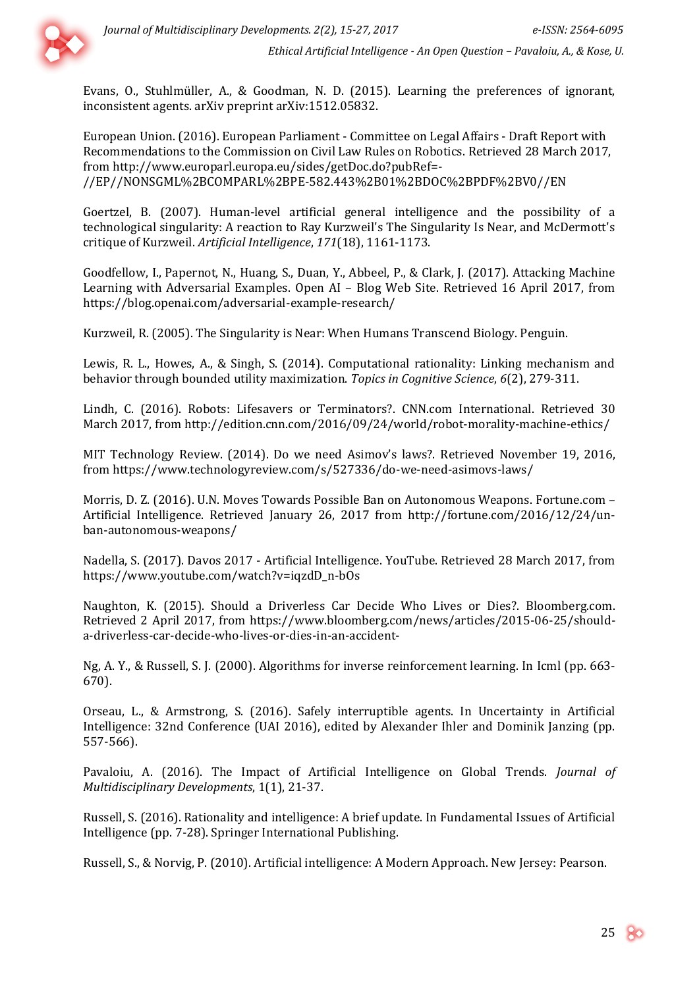

Evans, O., Stuhlmüller, A., & Goodman, N. D. (2015). Learning the preferences of ignorant, inconsistent agents. arXiv preprint arXiv:1512.05832.

European Union. (2016). European Parliament - Committee on Legal Affairs - Draft Report with Recommendations to the Commission on Civil Law Rules on Robotics. Retrieved 28 March 2017, from [http://www.europarl.europa.eu/sides/getDoc.do?pubRef=-](http://www.europarl.europa.eu/sides/getDoc.do?pubRef=-//EP//NONSGML%2BCOMPARL%2BPE-582.443%2B01%2BDOC%2BPDF%2BV0//EN) [//EP//NONSGML%2BCOMPARL%2BPE-582.443%2B01%2BDOC%2BPDF%2BV0//EN](http://www.europarl.europa.eu/sides/getDoc.do?pubRef=-//EP//NONSGML%2BCOMPARL%2BPE-582.443%2B01%2BDOC%2BPDF%2BV0//EN)

Goertzel, B. (2007). Human-level artificial general intelligence and the possibility of a technological singularity: A reaction to Ray Kurzweil's The Singularity Is Near, and McDermott's critique of Kurzweil. *Artificial Intelligence*, *171*(18), 1161-1173.

Goodfellow, I., Papernot, N., Huang, S., Duan, Y., Abbeel, P., & Clark, J. (2017). Attacking Machine Learning with Adversarial Examples. Open AI – Blog Web Site. Retrieved 16 April 2017, from <https://blog.openai.com/adversarial-example-research/>

Kurzweil, R. (2005). The Singularity is Near: When Humans Transcend Biology. Penguin.

Lewis, R. L., Howes, A., & Singh, S. (2014). Computational rationality: Linking mechanism and behavior through bounded utility maximization. *Topics in Cognitive Science*, *6*(2), 279-311.

Lindh, C. (2016). Robots: Lifesavers or Terminators?. CNN.com International. Retrieved 30 March 2017, from <http://edition.cnn.com/2016/09/24/world/robot-morality-machine-ethics/>

MIT Technology Review. (2014). Do we need Asimov's laws?. Retrieved November 19, 2016, from <https://www.technologyreview.com/s/527336/do-we-need-asimovs-laws/>

Morris, D. Z. (2016). U.N. Moves Towards Possible Ban on Autonomous Weapons. Fortune.com – Artificial Intelligence. Retrieved January 26, 2017 from [http://fortune.com/2016/12/24/un](http://fortune.com/2016/12/24/un-ban-autonomous-weapons/)[ban-autonomous-weapons/](http://fortune.com/2016/12/24/un-ban-autonomous-weapons/)

Nadella, S. (2017). Davos 2017 - Artificial Intelligence. YouTube. Retrieved 28 March 2017, from https://www.youtube.com/watch?v=iqzdD\_n-bOs

Naughton, K. (2015). Should a Driverless Car Decide Who Lives or Dies?. Bloomberg.com. Retrieved 2 April 2017, from [https://www.bloomberg.com/news/articles/2015-06-25/should](https://www.bloomberg.com/news/articles/2015-06-25/should-a-driverless-car-decide-who-lives-or-dies-in-an-accident-)[a-driverless-car-decide-who-lives-or-dies-in-an-accident-](https://www.bloomberg.com/news/articles/2015-06-25/should-a-driverless-car-decide-who-lives-or-dies-in-an-accident-)

Ng, A. Y., & Russell, S. J. (2000). Algorithms for inverse reinforcement learning. In Icml (pp. 663- 670).

Orseau, L., & Armstrong, S. (2016). Safely interruptible agents. In Uncertainty in Artificial Intelligence: 32nd Conference (UAI 2016), edited by Alexander Ihler and Dominik Janzing (pp. 557-566).

Pavaloiu, A. (2016). The Impact of Artificial Intelligence on Global Trends. *Journal of Multidisciplinary Developments*, 1(1), 21-37.

Russell, S. (2016). Rationality and intelligence: A brief update. In Fundamental Issues of Artificial Intelligence (pp. 7-28). Springer International Publishing.

Russell, S., & Norvig, P. (2010). Artificial intelligence: A Modern Approach. New Jersey: Pearson.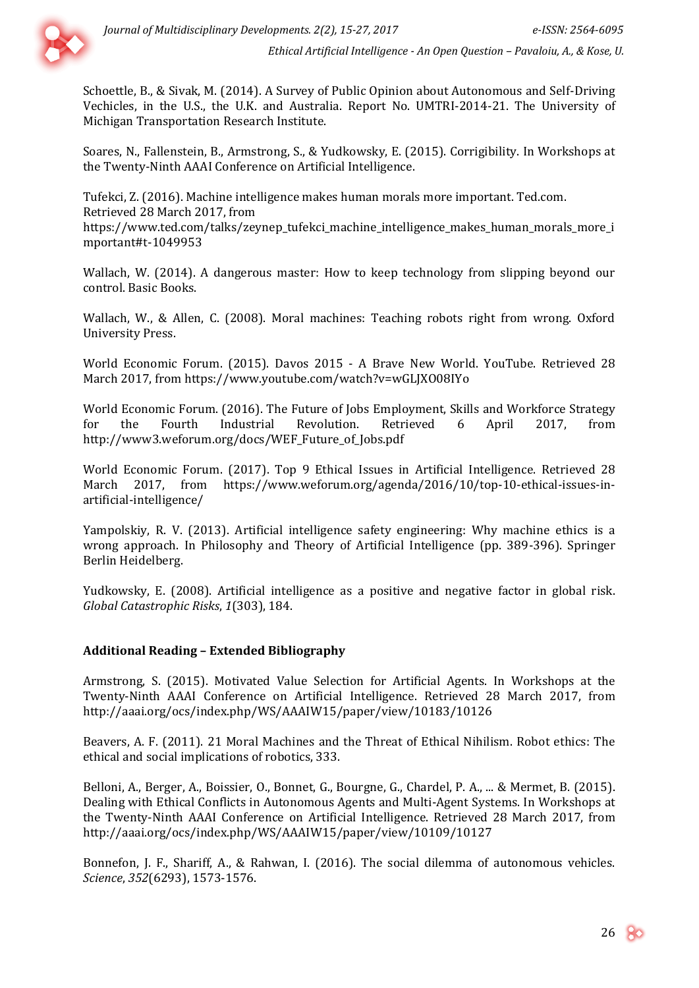

Schoettle, B., & Sivak, M. (2014). A Survey of Public Opinion about Autonomous and Self-Driving Vechicles, in the U.S., the U.K. and Australia. Report No. UMTRI-2014-21. The University of Michigan Transportation Research Institute.

Soares, N., Fallenstein, B., Armstrong, S., & Yudkowsky, E. (2015). Corrigibility. In Workshops at the Twenty-Ninth AAAI Conference on Artificial Intelligence.

Tufekci, Z. (2016). Machine intelligence makes human morals more important. Ted.com. Retrieved 28 March 2017, from [https://www.ted.com/talks/zeynep\\_tufekci\\_machine\\_intelligence\\_makes\\_human\\_morals\\_more\\_i](https://www.ted.com/talks/zeynep_tufekci_machine_intelligence_makes_human_morals_more_important#t-1049953) [mportant#t-1049953](https://www.ted.com/talks/zeynep_tufekci_machine_intelligence_makes_human_morals_more_important#t-1049953)

Wallach, W. (2014). A dangerous master: How to keep technology from slipping beyond our control. Basic Books.

Wallach, W., & Allen, C. (2008). Moral machines: Teaching robots right from wrong. Oxford University Press.

World Economic Forum. (2015). Davos 2015 - A Brave New World. YouTube. Retrieved 28 March 2017, from https://www.youtube.com/watch?v=wGLJXO08IYo

World Economic Forum. (2016). The Future of Jobs Employment, Skills and Workforce Strategy for the Fourth Industrial Revolution. Retrieved 6 April 2017, from [http://www3.weforum.org/docs/WEF\\_Future\\_of\\_Jobs.pdf](http://www3.weforum.org/docs/WEF_Future_of_Jobs.pdf)

World Economic Forum. (2017). Top 9 Ethical Issues in Artificial Intelligence. Retrieved 28 March 2017, from [https://www.weforum.org/agenda/2016/10/top-10-ethical-issues-in](https://www.weforum.org/agenda/2016/10/top-10-ethical-issues-in-artificial-intelligence/)[artificial-intelligence/](https://www.weforum.org/agenda/2016/10/top-10-ethical-issues-in-artificial-intelligence/)

Yampolskiy, R. V. (2013). Artificial intelligence safety engineering: Why machine ethics is a wrong approach. In Philosophy and Theory of Artificial Intelligence (pp. 389-396). Springer Berlin Heidelberg.

Yudkowsky, E. (2008). Artificial intelligence as a positive and negative factor in global risk. *Global Catastrophic Risks*, *1*(303), 184.

#### **Additional Reading – Extended Bibliography**

Armstrong, S. (2015). Motivated Value Selection for Artificial Agents. In Workshops at the Twenty-Ninth AAAI Conference on Artificial Intelligence. Retrieved 28 March 2017, from <http://aaai.org/ocs/index.php/WS/AAAIW15/paper/view/10183/10126>

Beavers, A. F. (2011). 21 Moral Machines and the Threat of Ethical Nihilism. Robot ethics: The ethical and social implications of robotics, 333.

Belloni, A., Berger, A., Boissier, O., Bonnet, G., Bourgne, G., Chardel, P. A., ... & Mermet, B. (2015). Dealing with Ethical Conflicts in Autonomous Agents and Multi-Agent Systems. In Workshops at the Twenty-Ninth AAAI Conference on Artificial Intelligence. Retrieved 28 March 2017, from <http://aaai.org/ocs/index.php/WS/AAAIW15/paper/view/10109/10127>

Bonnefon, J. F., Shariff, A., & Rahwan, I. (2016). The social dilemma of autonomous vehicles. *Science*, *352*(6293), 1573-1576.